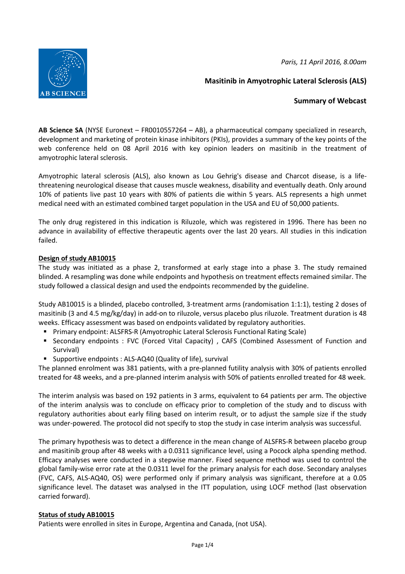*Paris, 11 April 2016, 8.00am* 



**Masitinib in Amyotrophic Lateral Sclerosis (ALS)** 

# **Summary of Webcast**

**AB Science SA** (NYSE Euronext – FR0010557264 – AB), a pharmaceutical company specialized in research, development and marketing of protein kinase inhibitors (PKIs), provides a summary of the key points of the web conference held on 08 April 2016 with key opinion leaders on masitinib in the treatment of amyotrophic lateral sclerosis.

Amyotrophic lateral sclerosis (ALS), also known as Lou Gehrig's disease and Charcot disease, is a lifethreatening neurological disease that causes muscle weakness, disability and eventually death. Only around 10% of patients live past 10 years with 80% of patients die within 5 years. ALS represents a high unmet medical need with an estimated combined target population in the USA and EU of 50,000 patients.

The only drug registered in this indication is Riluzole, which was registered in 1996. There has been no advance in availability of effective therapeutic agents over the last 20 years. All studies in this indication failed.

## **Design of study AB10015**

The study was initiated as a phase 2, transformed at early stage into a phase 3. The study remained blinded. A resampling was done while endpoints and hypothesis on treatment effects remained similar. The study followed a classical design and used the endpoints recommended by the guideline.

Study AB10015 is a blinded, placebo controlled, 3-treatment arms (randomisation 1:1:1), testing 2 doses of masitinib (3 and 4.5 mg/kg/day) in add-on to riluzole, versus placebo plus riluzole. Treatment duration is 48 weeks. Efficacy assessment was based on endpoints validated by regulatory authorities.

- **Primary endpoint: ALSFRS-R (Amyotrophic Lateral Sclerosis Functional Rating Scale)**
- Secondary endpoints : FVC (Forced Vital Capacity) , CAFS (Combined Assessment of Function and Survival)
- Supportive endpoints : ALS-AQ40 (Quality of life), survival

The planned enrolment was 381 patients, with a pre-planned futility analysis with 30% of patients enrolled treated for 48 weeks, and a pre-planned interim analysis with 50% of patients enrolled treated for 48 week.

The interim analysis was based on 192 patients in 3 arms, equivalent to 64 patients per arm. The objective of the interim analysis was to conclude on efficacy prior to completion of the study and to discuss with regulatory authorities about early filing based on interim result, or to adjust the sample size if the study was under-powered. The protocol did not specify to stop the study in case interim analysis was successful.

The primary hypothesis was to detect a difference in the mean change of ALSFRS-R between placebo group and masitinib group after 48 weeks with a 0.0311 significance level, using a Pocock alpha spending method. Efficacy analyses were conducted in a stepwise manner. Fixed sequence method was used to control the global family-wise error rate at the 0.0311 level for the primary analysis for each dose. Secondary analyses (FVC, CAFS, ALS-AQ40, OS) were performed only if primary analysis was significant, therefore at a 0.05 significance level. The dataset was analysed in the ITT population, using LOCF method (last observation carried forward).

## **Status of study AB10015**

Patients were enrolled in sites in Europe, Argentina and Canada, (not USA).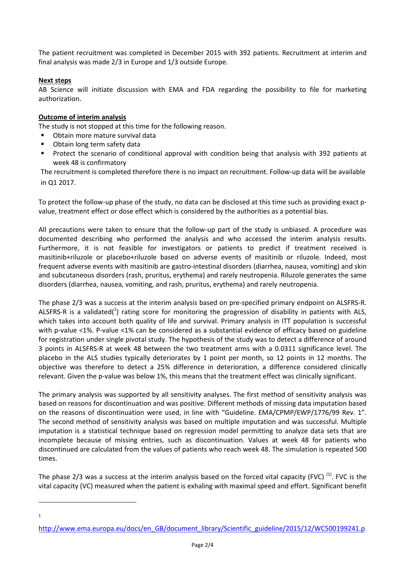The patient recruitment was completed in December 2015 with 392 patients. Recruitment at interim and final analysis was made 2/3 in Europe and 1/3 outside Europe.

## **Next steps**

AB Science will initiate discussion with EMA and FDA regarding the possibility to file for marketing authorization.

### **Outcome of interim analysis**

The study is not stopped at this time for the following reason.

- Obtain more mature survival data
- Obtain long term safety data
- Protect the scenario of conditional approval with condition being that analysis with 392 patients at week 48 is confirmatory

The recruitment is completed therefore there is no impact on recruitment. Follow-up data will be available in Q1 2017.

To protect the follow-up phase of the study, no data can be disclosed at this time such as providing exact pvalue, treatment effect or dose effect which is considered by the authorities as a potential bias.

All precautions were taken to ensure that the follow-up part of the study is unbiased. A procedure was documented describing who performed the analysis and who accessed the interim analysis results. Furthermore, it is not feasible for investigators or patients to predict if treatment received is masitinib+riluzole or placebo+riluzole based on adverse events of masitinib or riluzole. Indeed, most frequent adverse events with masitinib are gastro-intestinal disorders (diarrhea, nausea, vomiting) and skin and subcutaneous disorders (rash, pruritus, erythema) and rarely neutropenia. Riluzole generates the same disorders (diarrhea, nausea, vomiting, and rash, pruritus, erythema) and rarely neutropenia.

The phase 2/3 was a success at the interim analysis based on pre-specified primary endpoint on ALSFRS-R. ALSFRS-R is a validated( $^{1}$ ) rating score for monitoring the progression of disability in patients with ALS, which takes into account both quality of life and survival. Primary analysis in ITT population is successful with p-value <1%. P-value <1% can be considered as a substantial evidence of efficacy based on guideline for registration under single pivotal study. The hypothesis of the study was to detect a difference of around 3 points in ALSFRS-R at week 48 between the two treatment arms with a 0.0311 significance level. The placebo in the ALS studies typically deteriorates by 1 point per month, so 12 points in 12 months. The objective was therefore to detect a 25% difference in deterioration, a difference considered clinically relevant. Given the p-value was below 1%, this means that the treatment effect was clinically significant.

The primary analysis was supported by all sensitivity analyses. The first method of sensitivity analysis was based on reasons for discontinuation and was positive. Different methods of missing data imputation based on the reasons of discontinuation were used, in line with "Guideline. EMA/CPMP/EWP/1776/99 Rev. 1". The second method of sensitivity analysis was based on multiple imputation and was successful. Multiple imputation is a statistical technique based on regression model permitting to analyze data sets that are incomplete because of missing entries, such as discontinuation. Values at week 48 for patients who discontinued are calculated from the values of patients who reach week 48. The simulation is repeated 500 times.

The phase 2/3 was a success at the interim analysis based on the forced vital capacity (FVC)  $^{(1)}$ . FVC is the vital capacity (VC) measured when the patient is exhaling with maximal speed and effort. Significant benefit

 $\overline{\phantom{0}}$ 1

http://www.ema.europa.eu/docs/en\_GB/document\_library/Scientific\_guideline/2015/12/WC500199241.p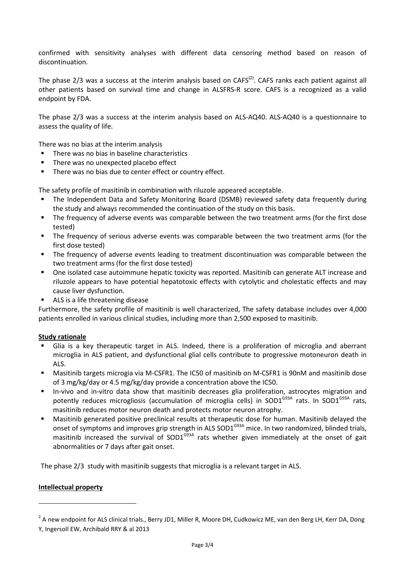confirmed with sensitivity analyses with different data censoring method based on reason of discontinuation.

The phase 2/3 was a success at the interim analysis based on CAFS<sup>(2)</sup>. CAFS ranks each patient against all other patients based on survival time and change in ALSFRS-R score. CAFS is a recognized as a valid endpoint by FDA.

The phase 2/3 was a success at the interim analysis based on ALS-AQ40. ALS-AQ40 is a questionnaire to assess the quality of life.

There was no bias at the interim analysis

- There was no bias in baseline characteristics
- $\blacksquare$  There was no unexpected placebo effect
- **There was no bias due to center effect or country effect.**

The safety profile of masitinib in combination with riluzole appeared acceptable.

- The Independent Data and Safety Monitoring Board (DSMB) reviewed safety data frequently during the study and always recommended the continuation of the study on this basis.
- The frequency of adverse events was comparable between the two treatment arms (for the first dose tested)
- The frequency of serious adverse events was comparable between the two treatment arms (for the first dose tested)
- The frequency of adverse events leading to treatment discontinuation was comparable between the two treatment arms (for the first dose tested)
- One isolated case autoimmune hepatic toxicity was reported. Masitinib can generate ALT increase and riluzole appears to have potential hepatotoxic effects with cytolytic and cholestatic effects and may cause liver dysfunction.
- ALS is a life threatening disease

Furthermore, the safety profile of masitinib is well characterized, The safety database includes over 4,000 patients enrolled in various clinical studies, including more than 2,500 exposed to masitinib.

### **Study rationale**

- Glia is a key therapeutic target in ALS. Indeed, there is a proliferation of microglia and aberrant microglia in ALS patient, and dysfunctional glial cells contribute to progressive motoneuron death in ALS.
- Masitinib targets microgia via M-CSFR1. The IC50 of masitinib on M-CSFR1 is 90nM and masitinib dose of 3 mg/kg/day or 4.5 mg/kg/day provide a concentration above the IC50.
- In-vivo and in-vitro data show that masitinib decreases glia proliferation, astrocytes migration and potently reduces microgliosis (accumulation of microglia cells) in SOD1<sup>G93A</sup> rats. In SOD1<sup>G93A</sup> rats, masitinib reduces motor neuron death and protects motor neuron atrophy.
- Masitinib generated positive preclinical results at therapeutic dose for human. Masitinib delayed the onset of symptoms and improves grip strength in ALS SOD1<sup>G93A</sup> mice. In two randomized, blinded trials, masitinib increased the survival of  $SOD1<sup>G93A</sup>$  rats whether given immediately at the onset of gait abnormalities or 7 days after gait onset.

The phase 2/3 study with masitinib suggests that microglia is a relevant target in ALS.

### **Intellectual property**

 $\overline{\phantom{0}}$ 

<sup>&</sup>lt;sup>2</sup> A new endpoint for ALS clinical trials., Berry JD1, Miller R, Moore DH, Cudkowicz ME, van den Berg LH, Kerr DA, Dong Y, Ingersoll EW, Archibald RRY & al 2013